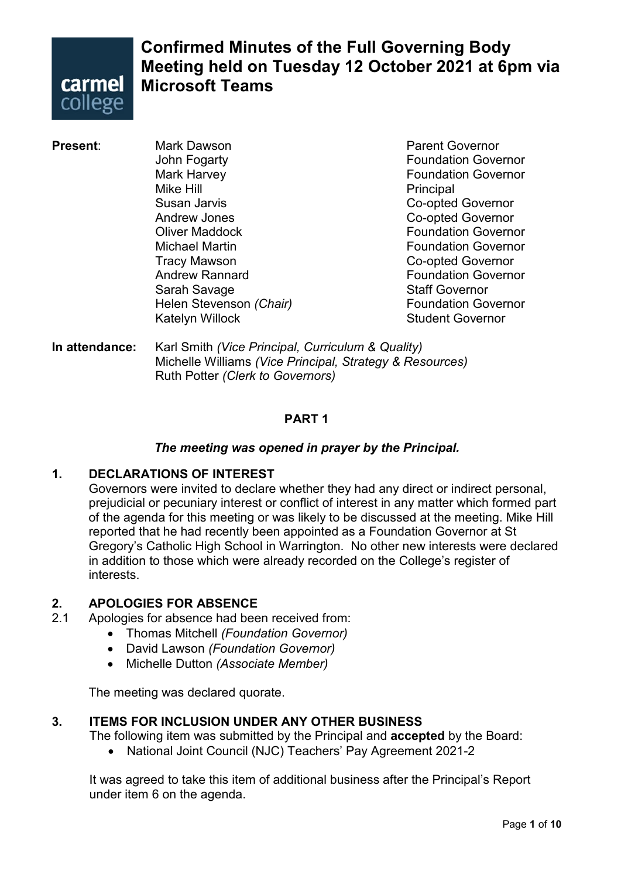

# **Confirmed Minutes of the Full Governing Body Meeting held on Tuesday 12 October 2021 at 6pm via Microsoft Teams**

John Fogarty **Foundation Governor** Mark Harvey **Foundation Governor** Mike Hill **Principal** Susan Jarvis **Co-opted Governor** Andrew Jones **Co-opted Governor Oliver Maddock Contract Contract Contract Contract Contract Contract Contract Contract Contract Contract Contract Contract Contract Contract Contract Contract Contract Contract Contract Contract Contract Contract Contract** Michael Martin Foundation Governor Andrew Rannard **Foundation Governor** Sarah Savage Staff Governor **Helen Stevenson** *(Chair)* Katelyn Willock **Student Governor** 

**Present:** Mark Dawson **Mark Dawson** Parent Governor Co-opted Governor

**In attendance:** Karl Smith *(Vice Principal, Curriculum & Quality)* Michelle Williams *(Vice Principal, Strategy & Resources)* Ruth Potter *(Clerk to Governors)*

# **PART 1**

# *The meeting was opened in prayer by the Principal.*

# **1. DECLARATIONS OF INTEREST**

Governors were invited to declare whether they had any direct or indirect personal, prejudicial or pecuniary interest or conflict of interest in any matter which formed part of the agenda for this meeting or was likely to be discussed at the meeting. Mike Hill reported that he had recently been appointed as a Foundation Governor at St Gregory's Catholic High School in Warrington. No other new interests were declared in addition to those which were already recorded on the College's register of interests.

### **2. APOLOGIES FOR ABSENCE**

- 2.1 Apologies for absence had been received from:
	- Thomas Mitchell *(Foundation Governor)*
	- David Lawson *(Foundation Governor)*
	- Michelle Dutton *(Associate Member)*

The meeting was declared quorate.

# **3. ITEMS FOR INCLUSION UNDER ANY OTHER BUSINESS**

The following item was submitted by the Principal and **accepted** by the Board:

• National Joint Council (NJC) Teachers' Pay Agreement 2021-2

It was agreed to take this item of additional business after the Principal's Report under item 6 on the agenda.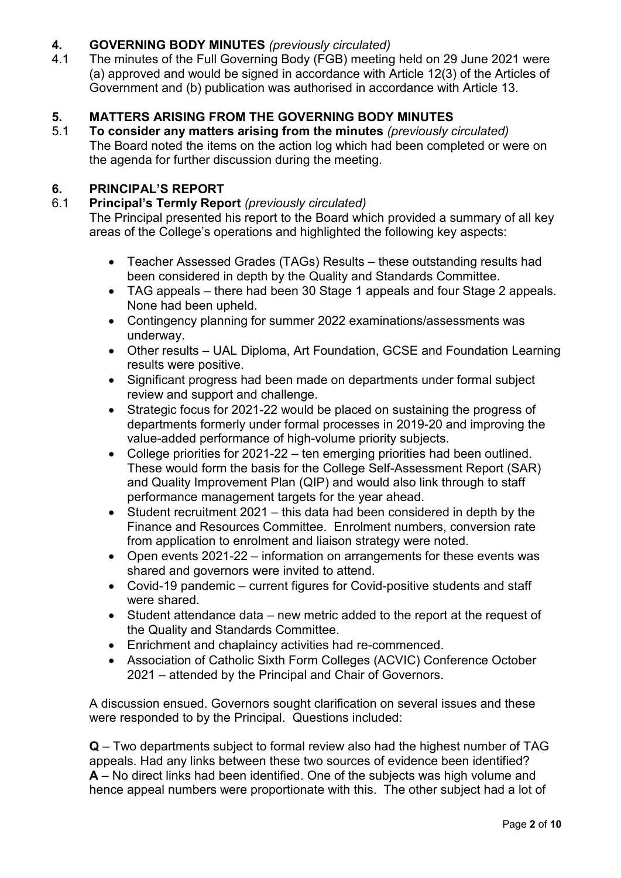# **4. GOVERNING BODY MINUTES** *(previously circulated)*

4.1 The minutes of the Full Governing Body (FGB) meeting held on 29 June 2021 were (a) approved and would be signed in accordance with Article 12(3) of the Articles of Government and (b) publication was authorised in accordance with Article 13.

# **5. MATTERS ARISING FROM THE GOVERNING BODY MINUTES**

5.1 **To consider any matters arising from the minutes** *(previously circulated)* The Board noted the items on the action log which had been completed or were on the agenda for further discussion during the meeting.

# **6. PRINCIPAL'S REPORT**

# 6.1 **Principal's Termly Report** *(previously circulated)*

The Principal presented his report to the Board which provided a summary of all key areas of the College's operations and highlighted the following key aspects:

- Teacher Assessed Grades (TAGs) Results these outstanding results had been considered in depth by the Quality and Standards Committee.
- TAG appeals there had been 30 Stage 1 appeals and four Stage 2 appeals. None had been upheld.
- Contingency planning for summer 2022 examinations/assessments was underway.
- Other results UAL Diploma, Art Foundation, GCSE and Foundation Learning results were positive.
- Significant progress had been made on departments under formal subject review and support and challenge.
- Strategic focus for 2021-22 would be placed on sustaining the progress of departments formerly under formal processes in 2019-20 and improving the value-added performance of high-volume priority subjects.
- College priorities for 2021-22 ten emerging priorities had been outlined. These would form the basis for the College Self-Assessment Report (SAR) and Quality Improvement Plan (QIP) and would also link through to staff performance management targets for the year ahead.
- Student recruitment 2021 this data had been considered in depth by the Finance and Resources Committee. Enrolment numbers, conversion rate from application to enrolment and liaison strategy were noted.
- Open events 2021-22 information on arrangements for these events was shared and governors were invited to attend.
- Covid-19 pandemic current figures for Covid-positive students and staff were shared
- Student attendance data new metric added to the report at the request of the Quality and Standards Committee.
- Enrichment and chaplaincy activities had re-commenced.
- Association of Catholic Sixth Form Colleges (ACVIC) Conference October 2021 – attended by the Principal and Chair of Governors.

A discussion ensued. Governors sought clarification on several issues and these were responded to by the Principal. Questions included:

**Q** – Two departments subject to formal review also had the highest number of TAG appeals. Had any links between these two sources of evidence been identified? **A** – No direct links had been identified. One of the subjects was high volume and hence appeal numbers were proportionate with this. The other subject had a lot of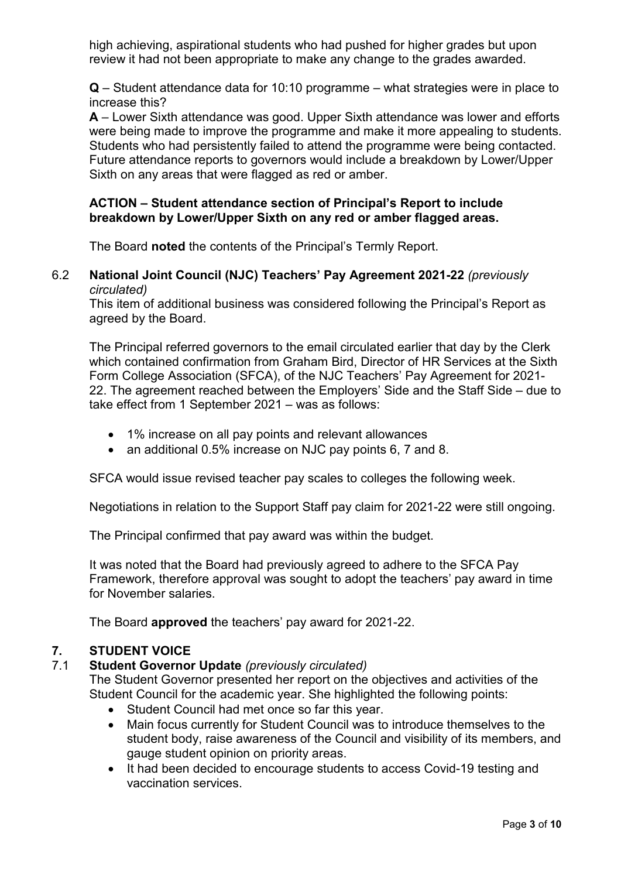high achieving, aspirational students who had pushed for higher grades but upon review it had not been appropriate to make any change to the grades awarded.

**Q** – Student attendance data for 10:10 programme – what strategies were in place to increase this?

**A** – Lower Sixth attendance was good. Upper Sixth attendance was lower and efforts were being made to improve the programme and make it more appealing to students. Students who had persistently failed to attend the programme were being contacted. Future attendance reports to governors would include a breakdown by Lower/Upper Sixth on any areas that were flagged as red or amber.

### **ACTION – Student attendance section of Principal's Report to include breakdown by Lower/Upper Sixth on any red or amber flagged areas.**

The Board **noted** the contents of the Principal's Termly Report.

#### 6.2 **National Joint Council (NJC) Teachers' Pay Agreement 2021-22** *(previously circulated)*

This item of additional business was considered following the Principal's Report as agreed by the Board.

The Principal referred governors to the email circulated earlier that day by the Clerk which contained confirmation from Graham Bird, Director of HR Services at the Sixth Form College Association (SFCA), of the NJC Teachers' Pay Agreement for 2021- 22. The agreement reached between the Employers' Side and the Staff Side – due to take effect from 1 September 2021 – was as follows:

- 1% increase on all pay points and relevant allowances
- an additional 0.5% increase on NJC pay points 6, 7 and 8.

SFCA would issue revised teacher pay scales to colleges the following week.

Negotiations in relation to the Support Staff pay claim for 2021-22 were still ongoing.

The Principal confirmed that pay award was within the budget.

It was noted that the Board had previously agreed to adhere to the SFCA Pay Framework, therefore approval was sought to adopt the teachers' pay award in time for November salaries.

The Board **approved** the teachers' pay award for 2021-22.

### **7. STUDENT VOICE**

### 7.1 **Student Governor Update** *(previously circulated)*

The Student Governor presented her report on the objectives and activities of the Student Council for the academic year. She highlighted the following points:

- Student Council had met once so far this year.
- Main focus currently for Student Council was to introduce themselves to the student body, raise awareness of the Council and visibility of its members, and gauge student opinion on priority areas.
- It had been decided to encourage students to access Covid-19 testing and vaccination services.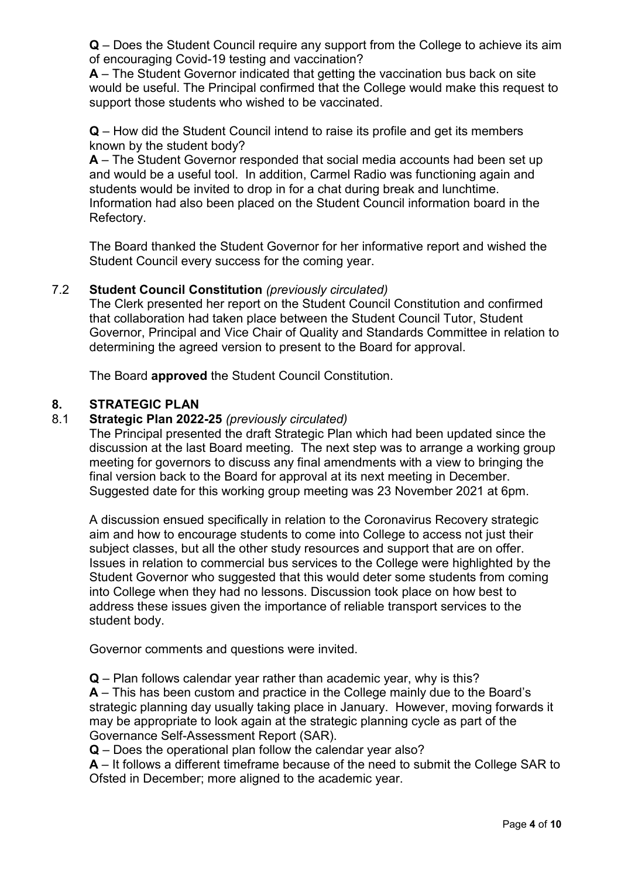**Q** – Does the Student Council require any support from the College to achieve its aim of encouraging Covid-19 testing and vaccination?

**A** – The Student Governor indicated that getting the vaccination bus back on site would be useful. The Principal confirmed that the College would make this request to support those students who wished to be vaccinated.

**Q** – How did the Student Council intend to raise its profile and get its members known by the student body?

**A** – The Student Governor responded that social media accounts had been set up and would be a useful tool. In addition, Carmel Radio was functioning again and students would be invited to drop in for a chat during break and lunchtime. Information had also been placed on the Student Council information board in the Refectory.

The Board thanked the Student Governor for her informative report and wished the Student Council every success for the coming year.

#### 7.2 **Student Council Constitution** *(previously circulated)*

The Clerk presented her report on the Student Council Constitution and confirmed that collaboration had taken place between the Student Council Tutor, Student Governor, Principal and Vice Chair of Quality and Standards Committee in relation to determining the agreed version to present to the Board for approval.

The Board **approved** the Student Council Constitution.

### **8. STRATEGIC PLAN**

### 8.1 **Strategic Plan 2022-25** *(previously circulated)*

The Principal presented the draft Strategic Plan which had been updated since the discussion at the last Board meeting. The next step was to arrange a working group meeting for governors to discuss any final amendments with a view to bringing the final version back to the Board for approval at its next meeting in December. Suggested date for this working group meeting was 23 November 2021 at 6pm.

A discussion ensued specifically in relation to the Coronavirus Recovery strategic aim and how to encourage students to come into College to access not just their subject classes, but all the other study resources and support that are on offer. Issues in relation to commercial bus services to the College were highlighted by the Student Governor who suggested that this would deter some students from coming into College when they had no lessons. Discussion took place on how best to address these issues given the importance of reliable transport services to the student body.

Governor comments and questions were invited.

**Q** – Plan follows calendar year rather than academic year, why is this?

**A** – This has been custom and practice in the College mainly due to the Board's strategic planning day usually taking place in January. However, moving forwards it may be appropriate to look again at the strategic planning cycle as part of the Governance Self-Assessment Report (SAR).

**Q** – Does the operational plan follow the calendar year also?

**A** – It follows a different timeframe because of the need to submit the College SAR to Ofsted in December; more aligned to the academic year.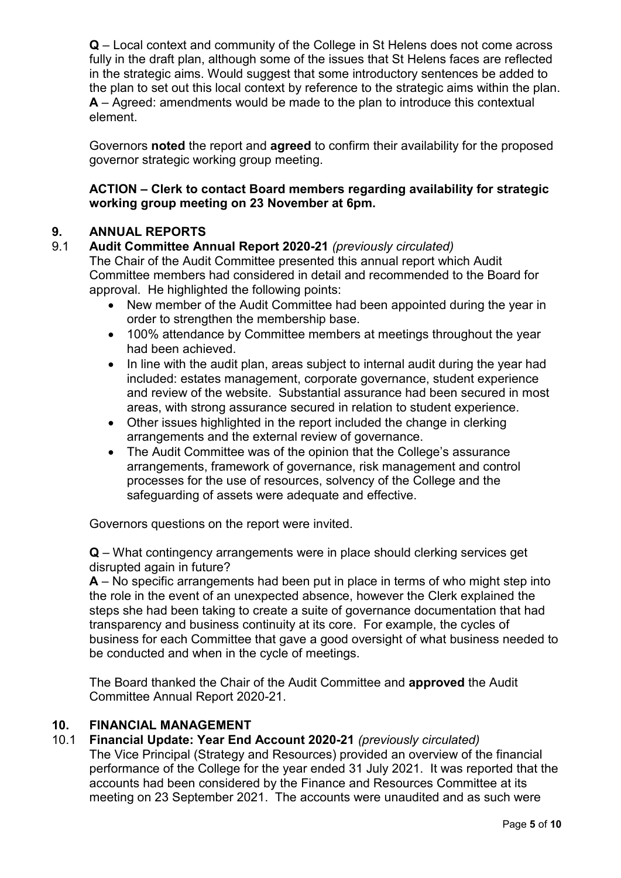**Q** – Local context and community of the College in St Helens does not come across fully in the draft plan, although some of the issues that St Helens faces are reflected in the strategic aims. Would suggest that some introductory sentences be added to the plan to set out this local context by reference to the strategic aims within the plan. **A** – Agreed: amendments would be made to the plan to introduce this contextual element.

Governors **noted** the report and **agreed** to confirm their availability for the proposed governor strategic working group meeting.

# **ACTION – Clerk to contact Board members regarding availability for strategic working group meeting on 23 November at 6pm.**

# **9. ANNUAL REPORTS**

# 9.1 **Audit Committee Annual Report 2020-21** *(previously circulated)*

The Chair of the Audit Committee presented this annual report which Audit Committee members had considered in detail and recommended to the Board for approval. He highlighted the following points:

- New member of the Audit Committee had been appointed during the year in order to strengthen the membership base.
- 100% attendance by Committee members at meetings throughout the year had been achieved.
- In line with the audit plan, areas subject to internal audit during the year had included: estates management, corporate governance, student experience and review of the website. Substantial assurance had been secured in most areas, with strong assurance secured in relation to student experience.
- Other issues highlighted in the report included the change in clerking arrangements and the external review of governance.
- The Audit Committee was of the opinion that the College's assurance arrangements, framework of governance, risk management and control processes for the use of resources, solvency of the College and the safeguarding of assets were adequate and effective.

Governors questions on the report were invited.

**Q** – What contingency arrangements were in place should clerking services get disrupted again in future?

**A** – No specific arrangements had been put in place in terms of who might step into the role in the event of an unexpected absence, however the Clerk explained the steps she had been taking to create a suite of governance documentation that had transparency and business continuity at its core. For example, the cycles of business for each Committee that gave a good oversight of what business needed to be conducted and when in the cycle of meetings.

The Board thanked the Chair of the Audit Committee and **approved** the Audit Committee Annual Report 2020-21.

# **10. FINANCIAL MANAGEMENT**

# 10.1 **Financial Update: Year End Account 2020-21** *(previously circulated)*

The Vice Principal (Strategy and Resources) provided an overview of the financial performance of the College for the year ended 31 July 2021. It was reported that the accounts had been considered by the Finance and Resources Committee at its meeting on 23 September 2021. The accounts were unaudited and as such were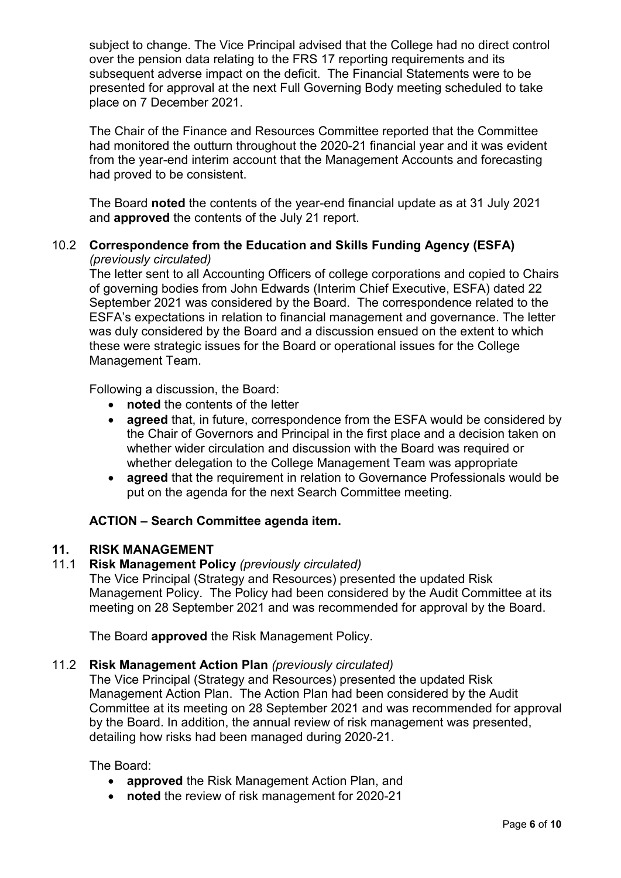subject to change. The Vice Principal advised that the College had no direct control over the pension data relating to the FRS 17 reporting requirements and its subsequent adverse impact on the deficit. The Financial Statements were to be presented for approval at the next Full Governing Body meeting scheduled to take place on 7 December 2021.

The Chair of the Finance and Resources Committee reported that the Committee had monitored the outturn throughout the 2020-21 financial year and it was evident from the year-end interim account that the Management Accounts and forecasting had proved to be consistent.

The Board **noted** the contents of the year-end financial update as at 31 July 2021 and **approved** the contents of the July 21 report.

# 10.2 **Correspondence from the Education and Skills Funding Agency (ESFA)** *(previously circulated)*

The letter sent to all Accounting Officers of college corporations and copied to Chairs of governing bodies from John Edwards (Interim Chief Executive, ESFA) dated 22 September 2021 was considered by the Board. The correspondence related to the ESFA's expectations in relation to financial management and governance. The letter was duly considered by the Board and a discussion ensued on the extent to which these were strategic issues for the Board or operational issues for the College Management Team.

Following a discussion, the Board:

- **noted** the contents of the letter
- **agreed** that, in future, correspondence from the ESFA would be considered by the Chair of Governors and Principal in the first place and a decision taken on whether wider circulation and discussion with the Board was required or whether delegation to the College Management Team was appropriate
- **agreed** that the requirement in relation to Governance Professionals would be put on the agenda for the next Search Committee meeting.

### **ACTION – Search Committee agenda item.**

# **11. RISK MANAGEMENT**

#### 11.1 **Risk Management Policy** *(previously circulated)*

The Vice Principal (Strategy and Resources) presented the updated Risk Management Policy. The Policy had been considered by the Audit Committee at its meeting on 28 September 2021 and was recommended for approval by the Board.

The Board **approved** the Risk Management Policy.

#### 11.2 **Risk Management Action Plan** *(previously circulated)*

The Vice Principal (Strategy and Resources) presented the updated Risk Management Action Plan. The Action Plan had been considered by the Audit Committee at its meeting on 28 September 2021 and was recommended for approval by the Board. In addition, the annual review of risk management was presented, detailing how risks had been managed during 2020-21.

The Board:

- **approved** the Risk Management Action Plan, and
- **noted** the review of risk management for 2020-21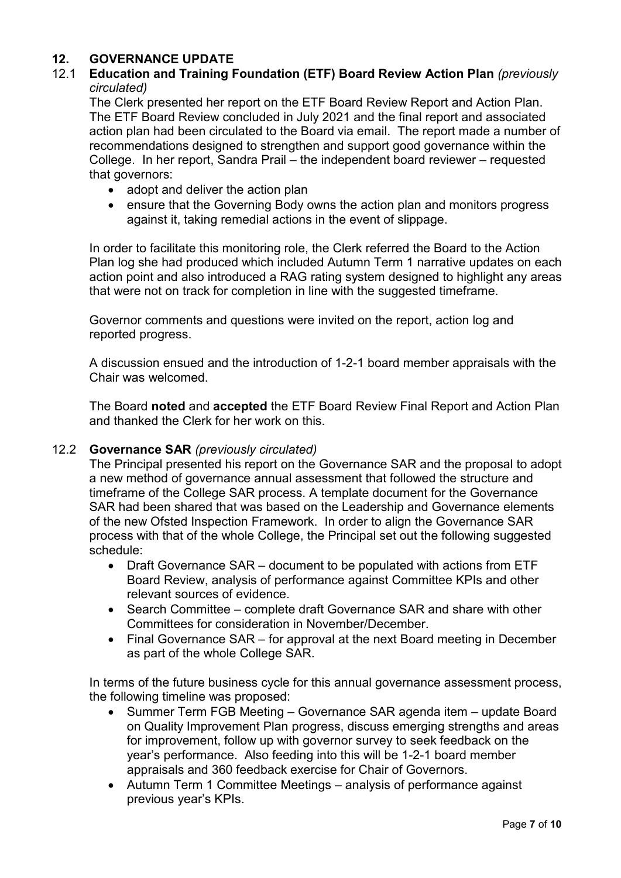# **12. GOVERNANCE UPDATE**

# 12.1 **Education and Training Foundation (ETF) Board Review Action Plan** *(previously circulated)*

The Clerk presented her report on the ETF Board Review Report and Action Plan. The ETF Board Review concluded in July 2021 and the final report and associated action plan had been circulated to the Board via email. The report made a number of recommendations designed to strengthen and support good governance within the College. In her report, Sandra Prail – the independent board reviewer – requested that governors:

- adopt and deliver the action plan
- ensure that the Governing Body owns the action plan and monitors progress against it, taking remedial actions in the event of slippage.

In order to facilitate this monitoring role, the Clerk referred the Board to the Action Plan log she had produced which included Autumn Term 1 narrative updates on each action point and also introduced a RAG rating system designed to highlight any areas that were not on track for completion in line with the suggested timeframe.

Governor comments and questions were invited on the report, action log and reported progress.

A discussion ensued and the introduction of 1-2-1 board member appraisals with the Chair was welcomed.

The Board **noted** and **accepted** the ETF Board Review Final Report and Action Plan and thanked the Clerk for her work on this.

### 12.2 **Governance SAR** *(previously circulated)*

The Principal presented his report on the Governance SAR and the proposal to adopt a new method of governance annual assessment that followed the structure and timeframe of the College SAR process. A template document for the Governance SAR had been shared that was based on the Leadership and Governance elements of the new Ofsted Inspection Framework. In order to align the Governance SAR process with that of the whole College, the Principal set out the following suggested schedule:

- Draft Governance SAR document to be populated with actions from ETF Board Review, analysis of performance against Committee KPIs and other relevant sources of evidence.
- Search Committee complete draft Governance SAR and share with other Committees for consideration in November/December.
- Final Governance SAR for approval at the next Board meeting in December as part of the whole College SAR.

In terms of the future business cycle for this annual governance assessment process, the following timeline was proposed:

- Summer Term FGB Meeting Governance SAR agenda item update Board on Quality Improvement Plan progress, discuss emerging strengths and areas for improvement, follow up with governor survey to seek feedback on the year's performance. Also feeding into this will be 1-2-1 board member appraisals and 360 feedback exercise for Chair of Governors.
- Autumn Term 1 Committee Meetings analysis of performance against previous year's KPIs.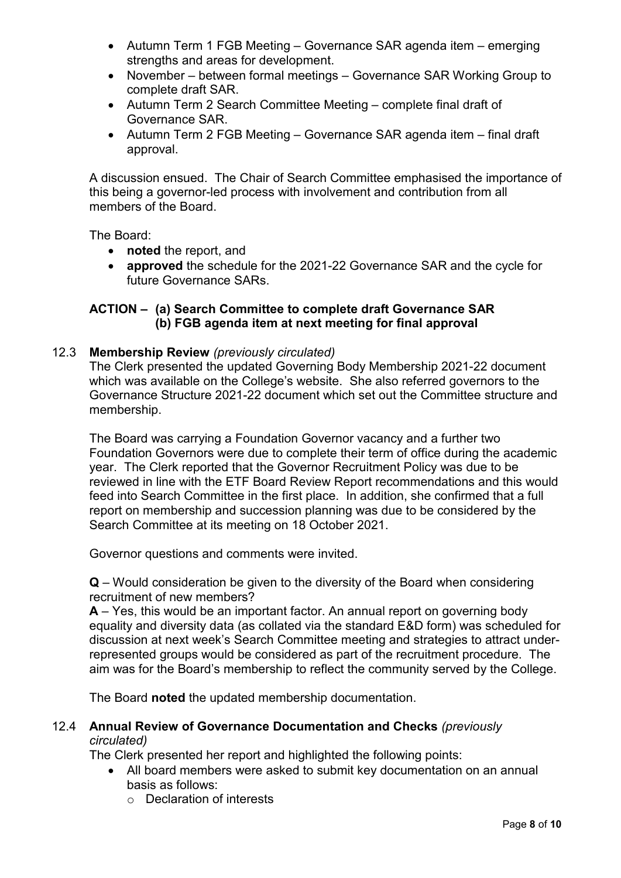- Autumn Term 1 FGB Meeting Governance SAR agenda item emerging strengths and areas for development.
- November between formal meetings Governance SAR Working Group to complete draft SAR.
- Autumn Term 2 Search Committee Meeting complete final draft of Governance SAR.
- Autumn Term 2 FGB Meeting Governance SAR agenda item final draft approval.

A discussion ensued. The Chair of Search Committee emphasised the importance of this being a governor-led process with involvement and contribution from all members of the Board.

The Board:

- **noted** the report, and
- **approved** the schedule for the 2021-22 Governance SAR and the cycle for future Governance SARs.

# **ACTION – (a) Search Committee to complete draft Governance SAR (b) FGB agenda item at next meeting for final approval**

### 12.3 **Membership Review** *(previously circulated)*

The Clerk presented the updated Governing Body Membership 2021-22 document which was available on the College's website. She also referred governors to the Governance Structure 2021-22 document which set out the Committee structure and membership.

The Board was carrying a Foundation Governor vacancy and a further two Foundation Governors were due to complete their term of office during the academic year. The Clerk reported that the Governor Recruitment Policy was due to be reviewed in line with the ETF Board Review Report recommendations and this would feed into Search Committee in the first place. In addition, she confirmed that a full report on membership and succession planning was due to be considered by the Search Committee at its meeting on 18 October 2021.

Governor questions and comments were invited.

**Q** – Would consideration be given to the diversity of the Board when considering recruitment of new members?

**A** – Yes, this would be an important factor. An annual report on governing body equality and diversity data (as collated via the standard E&D form) was scheduled for discussion at next week's Search Committee meeting and strategies to attract underrepresented groups would be considered as part of the recruitment procedure. The aim was for the Board's membership to reflect the community served by the College.

The Board **noted** the updated membership documentation.

#### 12.4 **Annual Review of Governance Documentation and Checks** *(previously circulated)*

The Clerk presented her report and highlighted the following points:

- All board members were asked to submit key documentation on an annual basis as follows:
	- o Declaration of interests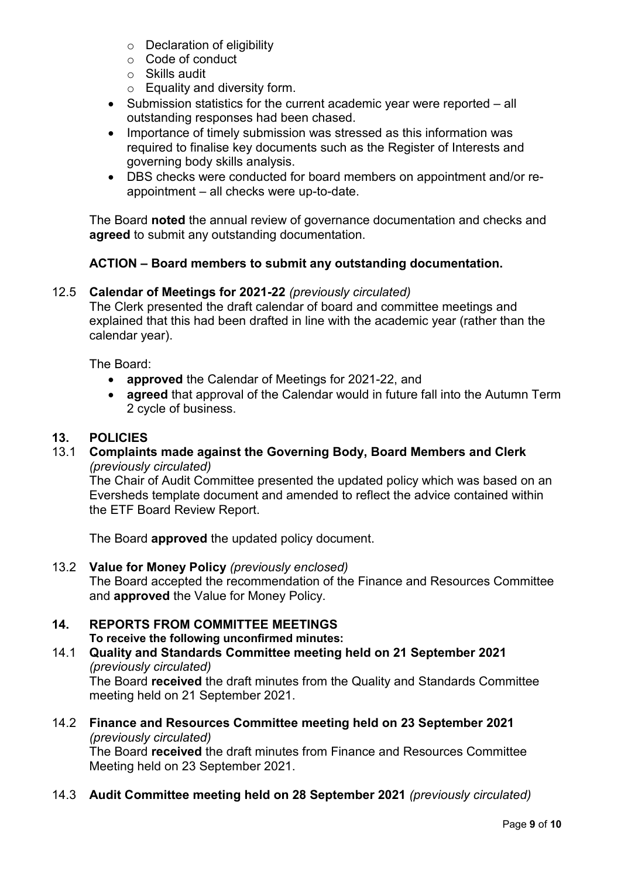- o Declaration of eligibility
- o Code of conduct
- o Skills audit
- o Equality and diversity form.
- Submission statistics for the current academic year were reported all outstanding responses had been chased.
- Importance of timely submission was stressed as this information was required to finalise key documents such as the Register of Interests and governing body skills analysis.
- DBS checks were conducted for board members on appointment and/or reappointment – all checks were up-to-date.

The Board **noted** the annual review of governance documentation and checks and **agreed** to submit any outstanding documentation.

# **ACTION – Board members to submit any outstanding documentation.**

# 12.5 **Calendar of Meetings for 2021-22** *(previously circulated)*

The Clerk presented the draft calendar of board and committee meetings and explained that this had been drafted in line with the academic year (rather than the calendar year).

The Board:

- **approved** the Calendar of Meetings for 2021-22, and
- **agreed** that approval of the Calendar would in future fall into the Autumn Term 2 cycle of business.

# **13. POLICIES**

13.1 **Complaints made against the Governing Body, Board Members and Clerk** *(previously circulated)*

The Chair of Audit Committee presented the updated policy which was based on an Eversheds template document and amended to reflect the advice contained within the ETF Board Review Report.

The Board **approved** the updated policy document.

13.2 **Value for Money Policy** *(previously enclosed)* The Board accepted the recommendation of the Finance and Resources Committee and **approved** the Value for Money Policy.

#### **14. REPORTS FROM COMMITTEE MEETINGS To receive the following unconfirmed minutes:**

- 14.1 **Quality and Standards Committee meeting held on 21 September 2021** *(previously circulated)* The Board **received** the draft minutes from the Quality and Standards Committee meeting held on 21 September 2021.
- 14.2 **Finance and Resources Committee meeting held on 23 September 2021** *(previously circulated)* The Board **received** the draft minutes from Finance and Resources Committee Meeting held on 23 September 2021.
- 14.3 **Audit Committee meeting held on 28 September 2021** *(previously circulated)*